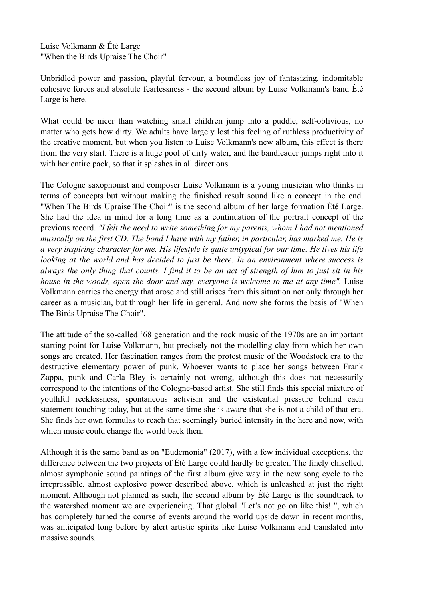Luise Volkmann & Été Large "When the Birds Upraise The Choir"

Unbridled power and passion, playful fervour, a boundless joy of fantasizing, indomitable cohesive forces and absolute fearlessness - the second album by Luise Volkmann's band Été Large is here.

What could be nicer than watching small children jump into a puddle, self-oblivious, no matter who gets how dirty. We adults have largely lost this feeling of ruthless productivity of the creative moment, but when you listen to Luise Volkmann's new album, this effect is there from the very start. There is a huge pool of dirty water, and the bandleader jumps right into it with her entire pack, so that it splashes in all directions.

The Cologne saxophonist and composer Luise Volkmann is a young musician who thinks in terms of concepts but without making the finished result sound like a concept in the end. "When The Birds Upraise The Choir" is the second album of her large formation Été Large. She had the idea in mind for a long time as a continuation of the portrait concept of the previous record. *"I felt the need to write something for my parents, whom I had not mentioned musically on the first CD. The bond I have with my father, in particular, has marked me. He is a very inspiring character for me. His lifestyle is quite untypical for our time. He lives his life looking at the world and has decided to just be there. In an environment where success is always the only thing that counts, I find it to be an act of strength of him to just sit in his house in the woods, open the door and say, everyone is welcome to me at any time".* Luise Volkmann carries the energy that arose and still arises from this situation not only through her career as a musician, but through her life in general. And now she forms the basis of "When The Birds Upraise The Choir".

The attitude of the so-called '68 generation and the rock music of the 1970s are an important starting point for Luise Volkmann, but precisely not the modelling clay from which her own songs are created. Her fascination ranges from the protest music of the Woodstock era to the destructive elementary power of punk. Whoever wants to place her songs between Frank Zappa, punk and Carla Bley is certainly not wrong, although this does not necessarily correspond to the intentions of the Cologne-based artist. She still finds this special mixture of youthful recklessness, spontaneous activism and the existential pressure behind each statement touching today, but at the same time she is aware that she is not a child of that era. She finds her own formulas to reach that seemingly buried intensity in the here and now, with which music could change the world back then.

Although it is the same band as on "Eudemonia" (2017), with a few individual exceptions, the difference between the two projects of Été Large could hardly be greater. The finely chiselled, almost symphonic sound paintings of the first album give way in the new song cycle to the irrepressible, almost explosive power described above, which is unleashed at just the right moment. Although not planned as such, the second album by Été Large is the soundtrack to the watershed moment we are experiencing. That global "Let's not go on like this! ", which has completely turned the course of events around the world upside down in recent months, was anticipated long before by alert artistic spirits like Luise Volkmann and translated into massive sounds.